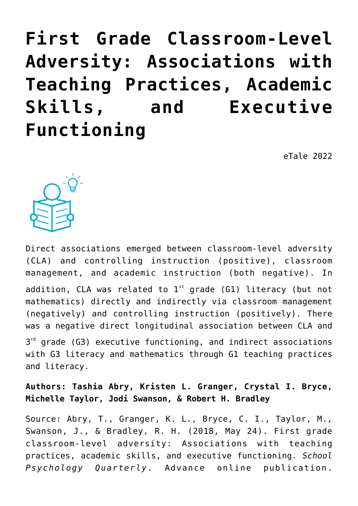**[First Grade Classroom-Level](https://dev.taleafrica.com/2020/11/30/first-grade-classroom-level-adversity-associations-with-teaching-practices-academic-skills-and-executive-functioning/) [Adversity: Associations with](https://dev.taleafrica.com/2020/11/30/first-grade-classroom-level-adversity-associations-with-teaching-practices-academic-skills-and-executive-functioning/) [Teaching Practices, Academic](https://dev.taleafrica.com/2020/11/30/first-grade-classroom-level-adversity-associations-with-teaching-practices-academic-skills-and-executive-functioning/) [Skills, and Executive](https://dev.taleafrica.com/2020/11/30/first-grade-classroom-level-adversity-associations-with-teaching-practices-academic-skills-and-executive-functioning/) [Functioning](https://dev.taleafrica.com/2020/11/30/first-grade-classroom-level-adversity-associations-with-teaching-practices-academic-skills-and-executive-functioning/)**

eTale 2022



Direct associations emerged between classroom-level adversity (CLA) and controlling instruction (positive), classroom management, and academic instruction (both negative). In addition, CLA was related to  $1^{st}$  grade (G1) literacy (but not mathematics) directly and indirectly via classroom management (negatively) and controlling instruction (positively). There was a negative direct longitudinal association between CLA and  $3<sup>rd</sup>$  grade (G3) executive functioning, and indirect associations with G3 literacy and mathematics through G1 teaching practices and literacy.

**Authors: Tashia Abry, Kristen L. Granger, Crystal I. Bryce, Michelle Taylor, Jodi Swanson, & Robert H. Bradley**

Source: Abry, T., Granger, K. L., Bryce, C. I., Taylor, M., Swanson, J., & Bradley, R. H. (2018, May 24). First grade classroom-level adversity: Associations with teaching practices, academic skills, and executive functioning. *School Psychology Quarterly*. Advance online publication.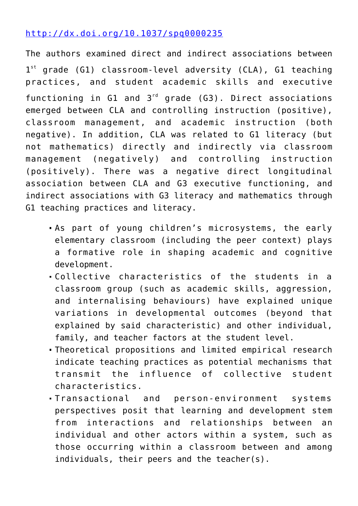# <http://dx.doi.org/10.1037/spq0000235>

The authors examined direct and indirect associations between 1<sup>st</sup> grade (G1) classroom-level adversity (CLA), G1 teaching practices, and student academic skills and executive functioning in G1 and  $3<sup>rd</sup>$  grade (G3). Direct associations emerged between CLA and controlling instruction (positive), classroom management, and academic instruction (both negative). In addition, CLA was related to G1 literacy (but not mathematics) directly and indirectly via classroom management (negatively) and controlling instruction (positively). There was a negative direct longitudinal association between CLA and G3 executive functioning, and indirect associations with G3 literacy and mathematics through G1 teaching practices and literacy.

- As part of young children's microsystems, the early elementary classroom (including the peer context) plays a formative role in shaping academic and cognitive development.
- Collective characteristics of the students in a classroom group (such as academic skills, aggression, and internalising behaviours) have explained unique variations in developmental outcomes (beyond that explained by said characteristic) and other individual, family, and teacher factors at the student level.
- Theoretical propositions and limited empirical research indicate teaching practices as potential mechanisms that transmit the influence of collective student characteristics.
- Transactional and person-environment systems perspectives posit that learning and development stem from interactions and relationships between an individual and other actors within a system, such as those occurring within a classroom between and among individuals, their peers and the teacher(s).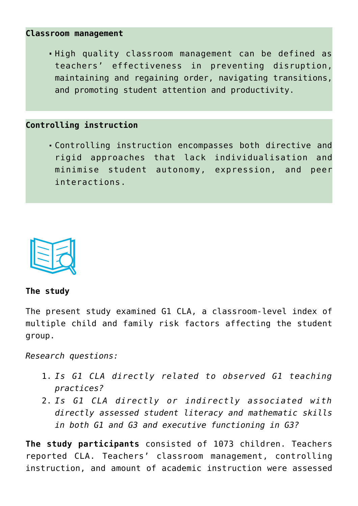#### **Classroom management**

High quality classroom management can be defined as teachers' effectiveness in preventing disruption, maintaining and regaining order, navigating transitions, and promoting student attention and productivity.

## **Controlling instruction**

Controlling instruction encompasses both directive and rigid approaches that lack individualisation and minimise student autonomy, expression, and peer interactions.



## **The study**

The present study examined G1 CLA, a classroom-level index of multiple child and family risk factors affecting the student group.

*Research questions:*

- 1. *Is G1 CLA directly related to observed G1 teaching practices?*
- 2. *Is G1 CLA directly or indirectly associated with directly assessed student literacy and mathematic skills in both G1 and G3 and executive functioning in G3?*

**The study participants** consisted of 1073 children. Teachers reported CLA. Teachers' classroom management, controlling instruction, and amount of academic instruction were assessed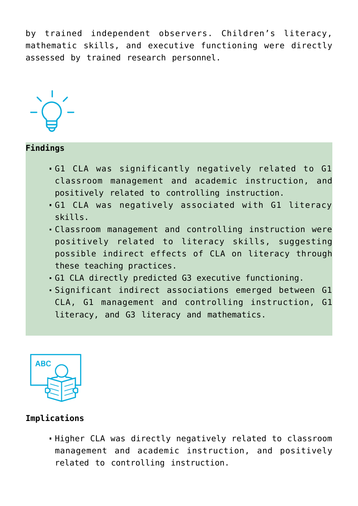by trained independent observers. Children's literacy, mathematic skills, and executive functioning were directly assessed by trained research personnel.



### **Findings**

- G1 CLA was significantly negatively related to G1 classroom management and academic instruction, and positively related to controlling instruction.
- G1 CLA was negatively associated with G1 literacy skills.
- Classroom management and controlling instruction were positively related to literacy skills, suggesting possible indirect effects of CLA on literacy through these teaching practices.
- G1 CLA directly predicted G3 executive functioning.
- Significant indirect associations emerged between G1 CLA, G1 management and controlling instruction, G1 literacy, and G3 literacy and mathematics.



#### **Implications**

Higher CLA was directly negatively related to classroom management and academic instruction, and positively related to controlling instruction.